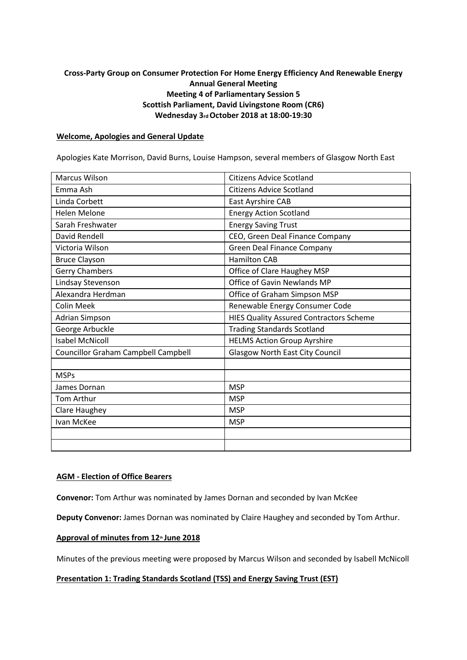# **Cross-Party Group on Consumer Protection For Home Energy Efficiency And Renewable Energy Annual General Meeting Meeting 4 of Parliamentary Session 5 Scottish Parliament, David Livingstone Room (CR6) Wednesday 3rd October 2018 at 18:00-19:30**

#### **Welcome, Apologies and General Update**

Apologies Kate Morrison, David Burns, Louise Hampson, several members of Glasgow North East

| <b>Marcus Wilson</b>                       | <b>Citizens Advice Scotland</b>                |
|--------------------------------------------|------------------------------------------------|
| Emma Ash                                   | <b>Citizens Advice Scotland</b>                |
| Linda Corbett                              | East Ayrshire CAB                              |
| <b>Helen Melone</b>                        | <b>Energy Action Scotland</b>                  |
| Sarah Freshwater                           | <b>Energy Saving Trust</b>                     |
| David Rendell                              | CEO, Green Deal Finance Company                |
| Victoria Wilson                            | <b>Green Deal Finance Company</b>              |
| <b>Bruce Clayson</b>                       | <b>Hamilton CAB</b>                            |
| <b>Gerry Chambers</b>                      | Office of Clare Haughey MSP                    |
| Lindsay Stevenson                          | Office of Gavin Newlands MP                    |
| Alexandra Herdman                          | Office of Graham Simpson MSP                   |
| <b>Colin Meek</b>                          | Renewable Energy Consumer Code                 |
| Adrian Simpson                             | <b>HIES Quality Assured Contractors Scheme</b> |
| George Arbuckle                            | <b>Trading Standards Scotland</b>              |
| <b>Isabel McNicoll</b>                     | <b>HELMS Action Group Ayrshire</b>             |
| <b>Councillor Graham Campbell Campbell</b> | <b>Glasgow North East City Council</b>         |
|                                            |                                                |
| <b>MSPs</b>                                |                                                |
| James Dornan                               | <b>MSP</b>                                     |
| Tom Arthur                                 | <b>MSP</b>                                     |
| Clare Haughey                              | <b>MSP</b>                                     |
| Ivan McKee                                 | <b>MSP</b>                                     |
|                                            |                                                |
|                                            |                                                |

## **AGM - Election of Office Bearers**

**Convenor:** Tom Arthur was nominated by James Dornan and seconded by Ivan McKee

**Deputy Convenor:** James Dornan was nominated by Claire Haughey and seconded by Tom Arthur.

## Approval of minutes from 12<sup>th</sup> June 2018

Minutes of the previous meeting were proposed by Marcus Wilson and seconded by Isabell McNicoll

#### **Presentation 1: Trading Standards Scotland (TSS) and Energy Saving Trust (EST)**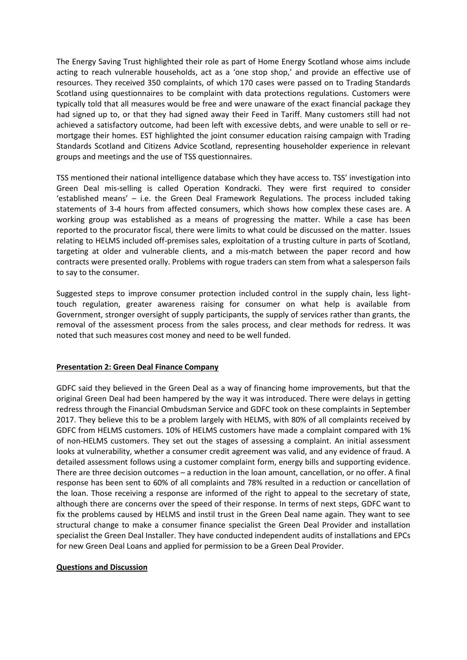The Energy Saving Trust highlighted their role as part of Home Energy Scotland whose aims include acting to reach vulnerable households, act as a 'one stop shop,' and provide an effective use of resources. They received 350 complaints, of which 170 cases were passed on to Trading Standards Scotland using questionnaires to be complaint with data protections regulations. Customers were typically told that all measures would be free and were unaware of the exact financial package they had signed up to, or that they had signed away their Feed in Tariff. Many customers still had not achieved a satisfactory outcome, had been left with excessive debts, and were unable to sell or remortgage their homes. EST highlighted the joint consumer education raising campaign with Trading Standards Scotland and Citizens Advice Scotland, representing householder experience in relevant groups and meetings and the use of TSS questionnaires.

TSS mentioned their national intelligence database which they have access to. TSS' investigation into Green Deal mis-selling is called Operation Kondracki. They were first required to consider 'established means' – i.e. the Green Deal Framework Regulations. The process included taking statements of 3-4 hours from affected consumers, which shows how complex these cases are. A working group was established as a means of progressing the matter. While a case has been reported to the procurator fiscal, there were limits to what could be discussed on the matter. Issues relating to HELMS included off-premises sales, exploitation of a trusting culture in parts of Scotland, targeting at older and vulnerable clients, and a mis-match between the paper record and how contracts were presented orally. Problems with rogue traders can stem from what a salesperson fails to say to the consumer.

Suggested steps to improve consumer protection included control in the supply chain, less lighttouch regulation, greater awareness raising for consumer on what help is available from Government, stronger oversight of supply participants, the supply of services rather than grants, the removal of the assessment process from the sales process, and clear methods for redress. It was noted that such measures cost money and need to be well funded.

## **Presentation 2: Green Deal Finance Company**

GDFC said they believed in the Green Deal as a way of financing home improvements, but that the original Green Deal had been hampered by the way it was introduced. There were delays in getting redress through the Financial Ombudsman Service and GDFC took on these complaints in September 2017. They believe this to be a problem largely with HELMS, with 80% of all complaints received by GDFC from HELMS customers. 10% of HELMS customers have made a complaint compared with 1% of non-HELMS customers. They set out the stages of assessing a complaint. An initial assessment looks at vulnerability, whether a consumer credit agreement was valid, and any evidence of fraud. A detailed assessment follows using a customer complaint form, energy bills and supporting evidence. There are three decision outcomes – a reduction in the loan amount, cancellation, or no offer. A final response has been sent to 60% of all complaints and 78% resulted in a reduction or cancellation of the loan. Those receiving a response are informed of the right to appeal to the secretary of state, although there are concerns over the speed of their response. In terms of next steps, GDFC want to fix the problems caused by HELMS and instil trust in the Green Deal name again. They want to see structural change to make a consumer finance specialist the Green Deal Provider and installation specialist the Green Deal Installer. They have conducted independent audits of installations and EPCs for new Green Deal Loans and applied for permission to be a Green Deal Provider.

## **Questions and Discussion**